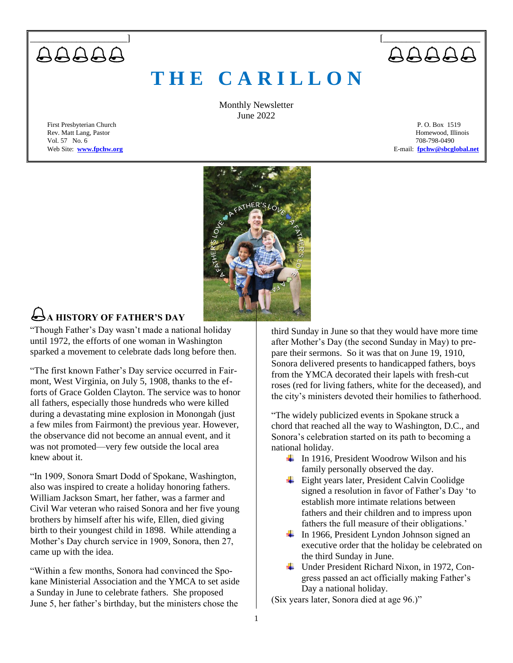

# **T H E C A R I L L O N**

Monthly Newsletter June 2022

Rev. Matt Lang, Pastor Vol. 57 No. 6 708-798-0490

First Presbyterian Church P. O. Box 1519<br>Rev. Matt Lang, Pastor Physics of Physics and Physics are also being the composition of the Homewood, Illinois Web Site: **[www.fpchw.org](http://www.fpchw.org/) E-mail: [fpchw@sbcglobal.net](mailto:fpchw@sbcglobal.net)** 



# **A HISTORY OF FATHER'S DAY**

"Though Father's Day wasn't made a national holiday until 1972, the efforts of one woman in Washington sparked a movement to celebrate dads long before then.

"The first known Father's Day service occurred in Fairmont, West Virginia, on July 5, 1908, thanks to the efforts of Grace Golden Clayton. The service was to honor all fathers, especially those hundreds who were killed during a devastating mine explosion in Monongah (just a few miles from Fairmont) the previous year. However, the observance did not become an annual event, and it was not promoted—very few outside the local area knew about it.

"In 1909, Sonora Smart Dodd of Spokane, Washington, also was inspired to create a holiday honoring fathers. William Jackson Smart, her father, was a farmer and Civil War veteran who raised Sonora and her five young brothers by himself after his wife, Ellen, died giving birth to their youngest child in 1898. While attending a Mother's Day church service in 1909, Sonora, then 27, came up with the idea.

"Within a few months, Sonora had convinced the Spokane Ministerial Association and the YMCA to set aside a Sunday in June to celebrate fathers. She proposed June 5, her father's birthday, but the ministers chose the

third Sunday in June so that they would have more time after Mother's Day (the second Sunday in May) to prepare their sermons. So it was that on June 19, 1910, Sonora delivered presents to handicapped fathers, boys from the YMCA decorated their lapels with fresh-cut roses (red for living fathers, white for the deceased), and the city's ministers devoted their homilies to fatherhood.

"The widely publicized events in Spokane struck a chord that reached all the way to Washington, D.C., and Sonora's celebration started on its path to becoming a national holiday.

- $\frac{1}{\sqrt{1}}$  In 1916, President Woodrow Wilson and his family personally observed the day.
- $\overline{\phantom{a}}$  Eight years later, President Calvin Coolidge signed a resolution in favor of Father's Day 'to establish more intimate relations between fathers and their children and to impress upon fathers the full measure of their obligations.'
- $\ddot{\bullet}$  In 1966, President Lyndon Johnson signed an executive order that the holiday be celebrated on the third Sunday in June.
- Under President Richard Nixon, in 1972, Congress passed an act officially making Father's Day a national holiday.

(Six years later, Sonora died at age 96.)"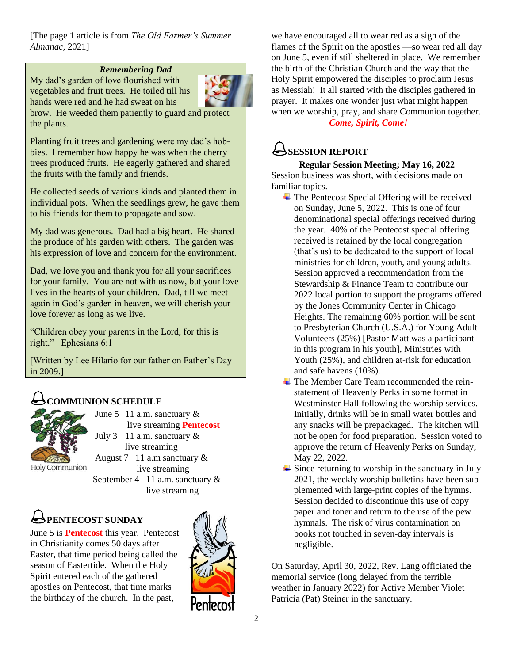[The page 1 article is from *The Old Farmer's Summer Almanac,* 2021]

### *Remembering Dad*

My dad's garden of love flourished with vegetables and fruit trees. He toiled till his hands were red and he had sweat on his brow. He weeded them patiently to guard and protect the plants.

Planting fruit trees and gardening were my dad's hobbies. I remember how happy he was when the cherry trees produced fruits. He eagerly gathered and shared the fruits with the family and friends.

He collected seeds of various kinds and planted them in individual pots. When the seedlings grew, he gave them to his friends for them to propagate and sow.

My dad was generous. Dad had a big heart. He shared the produce of his garden with others. The garden was his expression of love and concern for the environment.

Dad, we love you and thank you for all your sacrifices for your family. You are not with us now, but your love lives in the hearts of your children. Dad, till we meet again in God's garden in heaven, we will cherish your love forever as long as we live.

"Children obey your parents in the Lord, for this is right." Ephesians 6:1

[Written by Lee Hilario for our father on Father's Day in 2009.]

## **COMMUNION SCHEDULE**



June 5 11 a.m. sanctuary  $\&$  live streaming **Pentecost** July 3 11 a.m. sanctuary  $&$ live streaming August 7 11 a.m sanctuary & live streaming September 4 11 a.m. sanctuary  $\&$ live streaming

# **PENTECOST SUNDAY**

June 5 is **Pentecost** this year. Pentecost in Christianity comes 50 days after Easter, that time period being called the season of Eastertide. When the Holy Spirit entered each of the gathered apostles on Pentecost, that time marks the birthday of the church. In the past,



we have encouraged all to wear red as a sign of the flames of the Spirit on the apostles —so wear red all day on June 5, even if still sheltered in place. We remember the birth of the Christian Church and the way that the Holy Spirit empowered the disciples to proclaim Jesus as Messiah! It all started with the disciples gathered in prayer. It makes one wonder just what might happen when we worship, pray, and share Communion together. *Come, Spirit, Come!*

## **SESSION REPORT**

### **Regular Session Meeting; May 16, 2022**

Session business was short, with decisions made on familiar topics.

- $\overline{\text{F}}$  The Pentecost Special Offering will be received on Sunday, June 5, 2022. This is one of four denominational special offerings received during the year. 40% of the Pentecost special offering received is retained by the local congregation (that's us) to be dedicated to the support of local ministries for children, youth, and young adults. Session approved a recommendation from the Stewardship & Finance Team to contribute our 2022 local portion to support the programs offered by the Jones Community Center in Chicago Heights. The remaining 60% portion will be sent to Presbyterian Church (U.S.A.) for Young Adult Volunteers (25%) [Pastor Matt was a participant in this program in his youth], Ministries with Youth (25%), and children at-risk for education and safe havens (10%).
- $\div$  The Member Care Team recommended the reinstatement of Heavenly Perks in some format in Westminster Hall following the worship services. Initially, drinks will be in small water bottles and any snacks will be prepackaged. The kitchen will not be open for food preparation. Session voted to approve the return of Heavenly Perks on Sunday, May 22, 2022.
- $\frac{1}{\sqrt{2}}$  Since returning to worship in the sanctuary in July 2021, the weekly worship bulletins have been supplemented with large-print copies of the hymns. Session decided to discontinue this use of copy paper and toner and return to the use of the pew hymnals. The risk of virus contamination on books not touched in seven-day intervals is negligible.

On Saturday, April 30, 2022, Rev. Lang officiated the memorial service (long delayed from the terrible weather in January 2022) for Active Member Violet Patricia (Pat) Steiner in the sanctuary.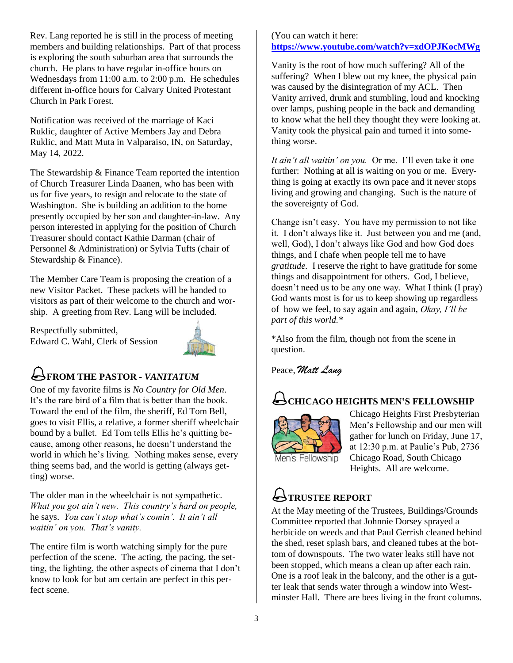Rev. Lang reported he is still in the process of meeting members and building relationships. Part of that process is exploring the south suburban area that surrounds the church. He plans to have regular in-office hours on Wednesdays from 11:00 a.m. to 2:00 p.m. He schedules different in-office hours for Calvary United Protestant Church in Park Forest.

Notification was received of the marriage of Kaci Ruklic, daughter of Active Members Jay and Debra Ruklic, and Matt Muta in Valparaiso, IN, on Saturday, May 14, 2022.

The Stewardship & Finance Team reported the intention of Church Treasurer Linda Daanen, who has been with us for five years, to resign and relocate to the state of Washington. She is building an addition to the home presently occupied by her son and daughter-in-law. Any person interested in applying for the position of Church Treasurer should contact Kathie Darman (chair of Personnel & Administration) or Sylvia Tufts (chair of Stewardship & Finance).

The Member Care Team is proposing the creation of a new Visitor Packet. These packets will be handed to visitors as part of their welcome to the church and worship. A greeting from Rev. Lang will be included.

Respectfully submitted, Edward C. Wahl, Clerk of Session



## **FROM THE PASTOR -** *VANITATUM*

One of my favorite films is *No Country for Old Men*. It's the rare bird of a film that is better than the book. Toward the end of the film, the sheriff, Ed Tom Bell, goes to visit Ellis, a relative, a former sheriff wheelchair bound by a bullet. Ed Tom tells Ellis he's quitting because, among other reasons, he doesn't understand the world in which he's living. Nothing makes sense, every thing seems bad, and the world is getting (always getting) worse.

The older man in the wheelchair is not sympathetic. *What you got ain't new. This country's hard on people,*  he says. *You can't stop what's comin'. It ain't all waitin' on you. That's vanity.*

The entire film is worth watching simply for the pure perfection of the scene. The acting, the pacing, the setting, the lighting, the other aspects of cinema that I don't know to look for but am certain are perfect in this perfect scene.

### (You can watch it here: **<https://www.youtube.com/watch?v=xdOPJKocMWg>**

Vanity is the root of how much suffering? All of the suffering? When I blew out my knee, the physical pain was caused by the disintegration of my ACL. Then Vanity arrived, drunk and stumbling, loud and knocking over lamps, pushing people in the back and demanding to know what the hell they thought they were looking at. Vanity took the physical pain and turned it into something worse.

*It ain't all waitin' on you.* Or me. I'll even take it one further: Nothing at all is waiting on you or me. Everything is going at exactly its own pace and it never stops living and growing and changing. Such is the nature of the sovereignty of God.

Change isn't easy. You have my permission to not like it. I don't always like it. Just between you and me (and, well, God), I don't always like God and how God does things, and I chafe when people tell me to have *gratitude.* I reserve the right to have gratitude for some things and disappointment for others. God, I believe, doesn't need us to be any one way. What I think (I pray) God wants most is for us to keep showing up regardless of how we feel, to say again and again, *Okay, I'll be part of this world.\**

\*Also from the film, though not from the scene in question.

Peace, *Matt Lang*

## **CHICAGO HEIGHTS MEN'S FELLOWSHIP**



Chicago Heights First Presbyterian Men's Fellowship and our men will gather for lunch on Friday, June 17, at 12:30 p.m. at Paulie's Pub, 2736 Chicago Road, South Chicago Heights. All are welcome.

# **TRUSTEE REPORT**

At the May meeting of the Trustees, Buildings/Grounds Committee reported that Johnnie Dorsey sprayed a herbicide on weeds and that Paul Gerrish cleaned behind the shed, reset splash bars, and cleaned tubes at the bottom of downspouts. The two water leaks still have not been stopped, which means a clean up after each rain. One is a roof leak in the balcony, and the other is a gutter leak that sends water through a window into Westminster Hall. There are bees living in the front columns.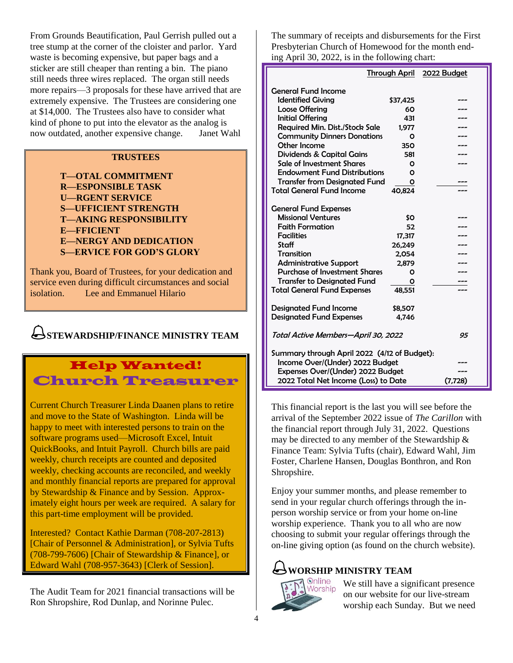From Grounds Beautification, Paul Gerrish pulled out a tree stump at the corner of the cloister and parlor. Yard waste is becoming expensive, but paper bags and a sticker are still cheaper than renting a bin. The piano still needs three wires replaced. The organ still needs more repairs—3 proposals for these have arrived that are extremely expensive. The Trustees are considering one at \$14,000. The Trustees also have to consider what kind of phone to put into the elevator as the analog is now outdated, another expensive change. Janet Wahl

### **TRUSTEES**

**T—OTAL COMMITMENT R—ESPONSIBLE TASK U—RGENT SERVICE S—UFFICIENT STRENGTH T—AKING RESPONSIBILITY E—FFICIENT E—NERGY AND DEDICATION S—ERVICE FOR GOD'S GLORY**

Thank you, Board of Trustees, for your dedication and service even during difficult circumstances and social isolation. Lee and Emmanuel Hilario

## **STEWARDSHIP/FINANCE MINISTRY TEAM**

## Help Wanted! Church Treasurer

Current Church Treasurer Linda Daanen plans to retire and move to the State of Washington. Linda will be happy to meet with interested persons to train on the software programs used—Microsoft Excel, Intuit QuickBooks, and Intuit Payroll. Church bills are paid weekly, church receipts are counted and deposited weekly, checking accounts are reconciled, and weekly and monthly financial reports are prepared for approval by Stewardship & Finance and by Session. Approximately eight hours per week are required. A salary for this part-time employment will be provided.

Interested? Contact Kathie Darman (708-207-2813) [Chair of Personnel & Administration], or Sylvia Tufts (708-799-7606) [Chair of Stewardship & Finance], or Edward Wahl (708-957-3643) [Clerk of Session].

The Audit Team for 2021 financial transactions will be Ron Shropshire, Rod Dunlap, and Norinne Pulec.

The summary of receipts and disbursements for the First Presbyterian Church of Homewood for the month ending April 30, 2022, is in the following chart:

|                                              |          | Through April 2022 Budget |  |  |  |  |  |
|----------------------------------------------|----------|---------------------------|--|--|--|--|--|
| <b>General Fund Income</b>                   |          |                           |  |  |  |  |  |
| <b>Identified Giving</b>                     | \$37,425 |                           |  |  |  |  |  |
| <b>Loose Offering</b>                        | 60       |                           |  |  |  |  |  |
| <b>Initial Offering</b>                      | 431      |                           |  |  |  |  |  |
| <b>Required Min. Dist./Stock Sale</b>        | 1.977    |                           |  |  |  |  |  |
| <b>Community Dinners Donations</b>           | Ο        |                           |  |  |  |  |  |
| Other Income                                 | 350      |                           |  |  |  |  |  |
| Dividends & Capital Gains                    | 581      |                           |  |  |  |  |  |
| Sale of Investment Shares                    |          |                           |  |  |  |  |  |
| <b>Endowment Fund Distributions</b>          |          |                           |  |  |  |  |  |
| <b>Transfer from Designated Fund</b>         | Ο        |                           |  |  |  |  |  |
| <b>Total General Fund Income</b>             | 40.824   |                           |  |  |  |  |  |
|                                              |          |                           |  |  |  |  |  |
| <b>General Fund Expenses</b>                 |          |                           |  |  |  |  |  |
| <b>Missional Ventures</b>                    | \$Ο      |                           |  |  |  |  |  |
| <b>Faith Formation</b>                       | 52       |                           |  |  |  |  |  |
| <b>Facilities</b>                            | 17,317   |                           |  |  |  |  |  |
| Staff                                        | 26,249   |                           |  |  |  |  |  |
| Transition                                   | 2,054    |                           |  |  |  |  |  |
| <b>Administrative Support</b>                | 2,879    |                           |  |  |  |  |  |
| <b>Purchase of Investment Shares</b>         | Ο        |                           |  |  |  |  |  |
| <b>Transfer to Designated Fund</b>           | Ο        |                           |  |  |  |  |  |
| <b>Total General Fund Expenses</b>           | 48,551   |                           |  |  |  |  |  |
| <b>Designated Fund Income</b>                | \$8,507  |                           |  |  |  |  |  |
| <b>Designated Fund Expenses</b>              | 4.746    |                           |  |  |  |  |  |
|                                              |          |                           |  |  |  |  |  |
| Total Active Members—April 30, 2022          | 95       |                           |  |  |  |  |  |
| Summary through April 2022 (4/12 of Budget): |          |                           |  |  |  |  |  |
| Income Over/(Under) 2022 Budget              |          |                           |  |  |  |  |  |
| Expenses Over/(Under) 2022 Budget            |          |                           |  |  |  |  |  |
| 2022 Total Net Income (Loss) to Date         | (7, 728) |                           |  |  |  |  |  |
|                                              |          |                           |  |  |  |  |  |

This financial report is the last you will see before the arrival of the September 2022 issue of *The Carillon* with the financial report through July 31, 2022. Questions may be directed to any member of the Stewardship & Finance Team: Sylvia Tufts (chair), Edward Wahl, Jim Foster, Charlene Hansen, Douglas Bonthron, and Ron Shropshire.

Enjoy your summer months, and please remember to send in your regular church offerings through the inperson worship service or from your home on-line worship experience. Thank you to all who are now choosing to submit your regular offerings through the on-line giving option (as found on the church website).

# **WORSHIP MINISTRY TEAM**



We still have a significant presence on our website for our live-stream worship each Sunday. But we need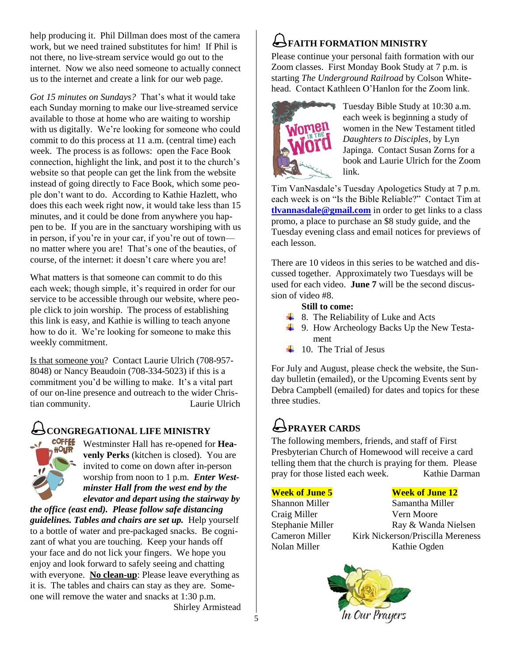help producing it. Phil Dillman does most of the camera work, but we need trained substitutes for him! If Phil is not there, no live-stream service would go out to the internet. Now we also need someone to actually connect us to the internet and create a link for our web page.

*Got 15 minutes on Sundays?* That's what it would take each Sunday morning to make our live-streamed service available to those at home who are waiting to worship with us digitally. We're looking for someone who could commit to do this process at 11 a.m. (central time) each week. The process is as follows: open the Face Book connection, highlight the link, and post it to the church's website so that people can get the link from the website instead of going directly to Face Book, which some people don't want to do. According to Kathie Hazlett, who does this each week right now, it would take less than 15 minutes, and it could be done from anywhere you happen to be. If you are in the sanctuary worshiping with us in person, if you're in your car, if you're out of town no matter where you are! That's one of the beauties, of course, of the internet: it doesn't care where you are!

What matters is that someone can commit to do this each week; though simple, it's required in order for our service to be accessible through our website, where people click to join worship. The process of establishing this link is easy, and Kathie is willing to teach anyone how to do it. We're looking for someone to make this weekly commitment.

Is that someone you? Contact Laurie Ulrich (708-957- 8048) or Nancy Beaudoin (708-334-5023) if this is a commitment you'd be willing to make. It's a vital part of our on-line presence and outreach to the wider Christian community. Laurie Ulrich

# **CONGREGATIONAL LIFE MINISTRY**



Westminster Hall has re-opened for **Heavenly Perks** (kitchen is closed). You are invited to come on down after in-person worship from noon to 1 p.m. *Enter Westminster Hall from the west end by the elevator and depart using the stairway by* 

*the office (east end). Please follow safe distancing guidelines. Tables and chairs are set up.* Help yourself to a bottle of water and pre-packaged snacks. Be cognizant of what you are touching. Keep your hands off your face and do not lick your fingers. We hope you enjoy and look forward to safely seeing and chatting with everyone. **No clean-up**: Please leave everything as it is. The tables and chairs can stay as they are. Someone will remove the water and snacks at 1:30 p.m. Shirley Armistead

# **FAITH FORMATION MINISTRY**

Please continue your personal faith formation with our Zoom classes. First Monday Book Study at 7 p.m. is starting *The Underground Railroad* by Colson Whitehead. Contact Kathleen O'Hanlon for the Zoom link.



Tuesday Bible Study at 10:30 a.m. each week is beginning a study of women in the New Testament titled *Daughters to Disciples*, by Lyn Japinga. Contact Susan Zorns for a book and Laurie Ulrich for the Zoom link.

Tim VanNasdale's Tuesday Apologetics Study at 7 p.m. each week is on "Is the Bible Reliable?" Contact Tim at **[tlvannasdale@gmail.com](mailto:tlvannasdale@gmail.com)** in order to get links to a class promo, a place to purchase an \$8 study guide, and the Tuesday evening class and email notices for previews of each lesson.

There are 10 videos in this series to be watched and discussed together. Approximately two Tuesdays will be used for each video. **June 7** will be the second discussion of video #8.

### **Still to come:**

- $\overline{\phantom{a}}$  8. The Reliability of Luke and Acts
- 9. How Archeology Backs Up the New Testa ment
- $\downarrow$  10. The Trial of Jesus

For July and August, please check the website, the Sunday bulletin (emailed), or the Upcoming Events sent by Debra Campbell (emailed) for dates and topics for these three studies.

# **PRAYER CARDS**

The following members, friends, and staff of First Presbyterian Church of Homewood will receive a card telling them that the church is praying for them. Please pray for those listed each week. Kathie Darman

### **Week of June 5 Week of June 12**

Shannon Miller Samantha Miller Craig Miller Vern Moore Stephanie Miller Ray & Wanda Nielsen Cameron Miller Kirk Nickerson/Priscilla Mereness Nolan Miller Kathie Ogden

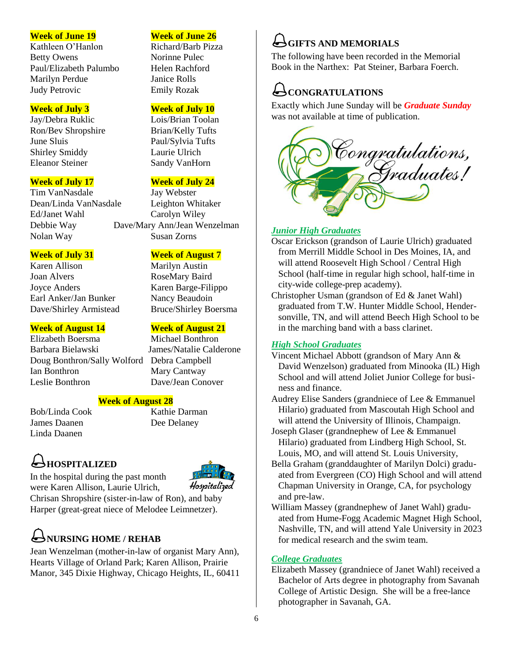Kathleen O'Hanlon Richard/Barb Pizza Betty Owens Norinne Pulec Paul/Elizabeth Palumbo Helen Rachford Marilyn Perdue Janice Rolls Judy Petrovic Emily Rozak

Jay/Debra Ruklic Lois/Brian Toolan Ron/Bev Shropshire Brian/Kelly Tufts June Sluis Paul/Sylvia Tufts Shirley Smiddy Laurie Ulrich Eleanor Steiner Sandy VanHorn

Tim VanNasdale Jay Webster Dean/Linda VanNasdale Leighton Whitaker Ed/Janet Wahl Carolyn Wiley Nolan Way Susan Zorns

Karen Allison Marilyn Austin Joan Alvers RoseMary Baird Joyce Anders Karen Barge-Filippo Earl Anker/Jan Bunker Nancy Beaudoin Dave/Shirley Armistead Bruce/Shirley Boersma

### **Week of August 14 Week of August 21**

Elizabeth Boersma Michael Bonthron Barbara Bielawski James/Natalie Calderone Doug Bonthron/Sally Wolford Debra Campbell Ian Bonthron Mary Cantway Leslie Bonthron Dave/Jean Conover

### **Week of August 28**

Bob/Linda Cook Kathie Darman James Daanen Dee Delaney Linda Daanen

# **HOSPITALIZED**

In the hospital during the past month



were Karen Allison, Laurie Ulrich, Chrisan Shropshire (sister-in-law of Ron), and baby Harper (great-great niece of Melodee Leimnetzer).

# **NURSING HOME / REHAB**

Jean Wenzelman (mother-in-law of organist Mary Ann), Hearts Village of Orland Park; Karen Allison, Prairie Manor, 345 Dixie Highway, Chicago Heights, IL, 60411

### **Week of June 19 Week of June 26**

### **Week of July 3 Week of July 10**

### **Week of July 17 Week of July 24**

Debbie Way Dave/Mary Ann/Jean Wenzelman

### **Week of July 31 Week of August 7**

## **GIFTS AND MEMORIALS**

The following have been recorded in the Memorial Book in the Narthex: Pat Steiner, Barbara Foerch.

# CONGRATULATIONS

Exactly which June Sunday will be *Graduate Sunday* was not available at time of publication.



### *Junior High Graduates*

- Oscar Erickson (grandson of Laurie Ulrich) graduated from Merrill Middle School in Des Moines, IA, and will attend Roosevelt High School / Central High School (half-time in regular high school, half-time in city-wide college-prep academy).
- Christopher Usman (grandson of Ed & Janet Wahl) graduated from T.W. Hunter Middle School, Hender sonville, TN, and will attend Beech High School to be in the marching band with a bass clarinet.

### *High School Graduates*

- Vincent Michael Abbott (grandson of Mary Ann & David Wenzelson) graduated from Minooka (IL) High School and will attend Joliet Junior College for busi ness and finance.
- Audrey Elise Sanders (grandniece of Lee & Emmanuel Hilario) graduated from Mascoutah High School and will attend the University of Illinois, Champaign.
- Joseph Glaser (grandnephew of Lee & Emmanuel Hilario) graduated from Lindberg High School, St. Louis, MO, and will attend St. Louis University,
- Bella Graham (granddaughter of Marilyn Dolci) gradu ated from Evergreen (CO) High School and will attend Chapman University in Orange, CA, for psychology and pre-law.
- William Massey (grandnephew of Janet Wahl) gradu ated from Hume-Fogg Academic Magnet High School, Nashville, TN, and will attend Yale University in 2023 for medical research and the swim team.

### *College Graduates*

Elizabeth Massey (grandniece of Janet Wahl) received a Bachelor of Arts degree in photography from Savanah College of Artistic Design. She will be a free-lance photographer in Savanah, GA.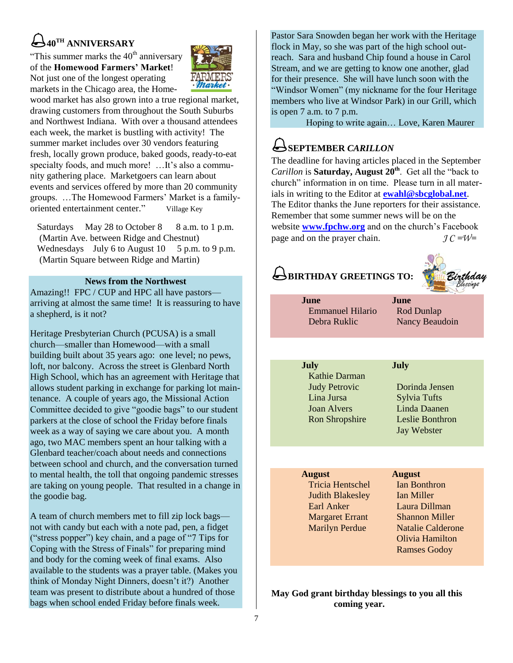# **40TH ANNIVERSARY**

"This summer marks the  $40<sup>th</sup>$  anniversary of the **Homewood Farmers' Market**! Not just one of the longest operating markets in the Chicago area, the Home-



wood market has also grown into a true regional market, drawing customers from throughout the South Suburbs and Northwest Indiana. With over a thousand attendees each week, the market is bustling with activity! The summer market includes over 30 vendors featuring fresh, locally grown produce, baked goods, ready-to-eat specialty foods, and much more! …It's also a community gathering place. Marketgoers can learn about events and services offered by more than 20 community groups. …The Homewood Farmers' Market is a familyoriented entertainment center." Village Key

Saturdays May 28 to October 8 8 a.m. to 1 p.m. (Martin Ave. between Ridge and Chestnut) Wednesdays July 6 to August  $10$  5 p.m. to 9 p.m. (Martin Square between Ridge and Martin)

### **News from the Northwest**

Amazing!! FPC / CUP and HPC all have pastors arriving at almost the same time! It is reassuring to have a shepherd, is it not?

Heritage Presbyterian Church (PCUSA) is a small church—smaller than Homewood—with a small building built about 35 years ago: one level; no pews, loft, nor balcony. Across the street is Glenbard North High School, which has an agreement with Heritage that allows student parking in exchange for parking lot maintenance. A couple of years ago, the Missional Action Committee decided to give "goodie bags" to our student parkers at the close of school the Friday before finals week as a way of saying we care about you. A month ago, two MAC members spent an hour talking with a Glenbard teacher/coach about needs and connections between school and church, and the conversation turned to mental health, the toll that ongoing pandemic stresses are taking on young people. That resulted in a change in the goodie bag.

A team of church members met to fill zip lock bags not with candy but each with a note pad, pen, a fidget ("stress popper") key chain, and a page of "7 Tips for Coping with the Stress of Finals" for preparing mind and body for the coming week of final exams. Also available to the students was a prayer table. (Makes you think of Monday Night Dinners, doesn't it?) Another team was present to distribute about a hundred of those bags when school ended Friday before finals week.

Pastor Sara Snowden began her work with the Heritage flock in May, so she was part of the high school outreach. Sara and husband Chip found a house in Carol Stream, and we are getting to know one another, glad for their presence. She will have lunch soon with the "Windsor Women" (my nickname for the four Heritage members who live at Windsor Park) in our Grill, which is open 7 a.m. to 7 p.m.

Hoping to write again… Love, Karen Maurer

# **SEPTEMBER** *CARILLON*

The deadline for having articles placed in the September *Carillon* is **Saturday, August 20th**. Get all the "back to church" information in on time. Please turn in all materials in writing to the Editor at **[ewahl@sbcglobal.net](mailto:ewahl@sbcglobal.net)**. The Editor thanks the June reporters for their assistance. Remember that some summer news will be on the website **[www.fpchw.org](http://www.fpchw.org/)** and on the church's Facebook page and on the prayer chain. *J C =W=*

# **BIRTHDAY GREETINGS TO:**



| June<br><b>Emmanuel Hilario</b><br>Debra Ruklic                                                            | June<br>Rod Dunlap<br>Nancy Beaudoin                                                                          |
|------------------------------------------------------------------------------------------------------------|---------------------------------------------------------------------------------------------------------------|
|                                                                                                            |                                                                                                               |
| <b>July</b><br>Kathie Darman<br><b>Judy Petrovic</b><br>Lina Jursa<br><b>Joan Alvers</b><br>Ron Shropshire | <b>July</b><br>Dorinda Jensen<br><b>Sylvia Tufts</b><br>Linda Daanen<br>Leslie Bonthron<br><b>Jay Webster</b> |
|                                                                                                            |                                                                                                               |
| <b>August</b><br>Tricia Hentschel                                                                          | <b>August</b><br><b>Ian Bonthron</b>                                                                          |
|                                                                                                            |                                                                                                               |

Judith Blakesley Ian Miller Earl Anker Laura Dillman Margaret Errant Shannon Miller

Marilyn Perdue Natalie Calderone Olivia Hamilton Ramses Godoy

### **May God grant birthday blessings to you all this coming year.**